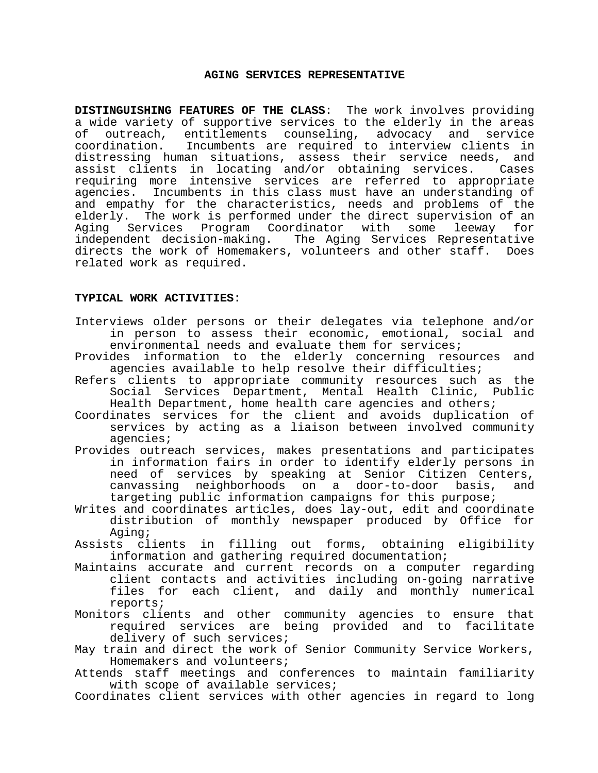### **AGING SERVICES REPRESENTATIVE**

**DISTINGUISHING FEATURES OF THE CLASS**: The work involves providing a wide variety of supportive services to the elderly in the areas of outreach, entitlements counseling, advocacy and service coordination. Incumbents are required to interview clients in distressing human situations, assess their service needs, and assist clients in locating and/or obtaining services. Cases requiring more intensive services are referred to appropriate agencies. Incumbents in this class must have an understanding of and empathy for the characteristics, needs and problems of the elderly. The work is performed under the direct supervision of an<br>Aging Services Program Coordinator with some leeway for Aging Services Program Coordinator with some leeway for independent decision-making. The Aging Services Representative directs the work of Homemakers, volunteers and other staff. Does related work as required.

#### **TYPICAL WORK ACTIVITIES**:

- Interviews older persons or their delegates via telephone and/or in person to assess their economic, emotional, social and environmental needs and evaluate them for services;
- Provides information to the elderly concerning resources and agencies available to help resolve their difficulties;
- Refers clients to appropriate community resources such as the Social Services Department, Mental Health Clinic, Public Health Department, home health care agencies and others;
- Coordinates services for the client and avoids duplication of services by acting as a liaison between involved community agencies;
- Provides outreach services, makes presentations and participates in information fairs in order to identify elderly persons in need of services by speaking at Senior Citizen Centers, canvassing neighborhoods on a door-to-door basis, and targeting public information campaigns for this purpose;
- Writes and coordinates articles, does lay-out, edit and coordinate distribution of monthly newspaper produced by Office for Aging;
- Assists clients in filling out forms, obtaining eligibility information and gathering required documentation;
- Maintains accurate and current records on a computer regarding client contacts and activities including on-going narrative files for each client, and daily and monthly numerical reports;
- Monitors clients and other community agencies to ensure that required services are being provided and to facilitate delivery of such services;
- May train and direct the work of Senior Community Service Workers, Homemakers and volunteers;
- Attends staff meetings and conferences to maintain familiarity with scope of available services;
- Coordinates client services with other agencies in regard to long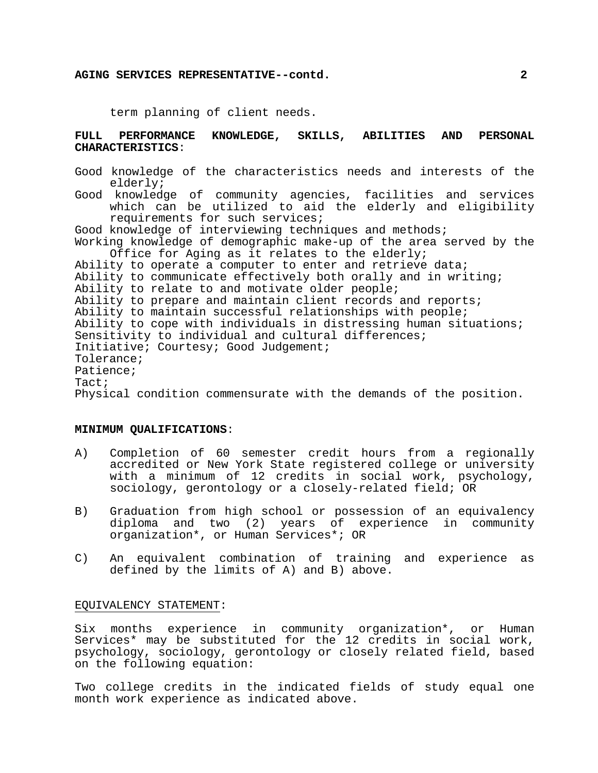#### **AGING SERVICES REPRESENTATIVE--contd. 2**

term planning of client needs.

## **FULL PERFORMANCE KNOWLEDGE, SKILLS, ABILITIES AND PERSONAL CHARACTERISTICS**:

Good knowledge of the characteristics needs and interests of the elderly; Good knowledge of community agencies, facilities and services which can be utilized to aid the elderly and eligibility requirements for such services; Good knowledge of interviewing techniques and methods; Working knowledge of demographic make-up of the area served by the Office for Aging as it relates to the elderly; Ability to operate a computer to enter and retrieve data; Ability to communicate effectively both orally and in writing; Ability to relate to and motivate older people; Ability to prepare and maintain client records and reports; Ability to maintain successful relationships with people; Ability to cope with individuals in distressing human situations; Sensitivity to individual and cultural differences; Initiative; Courtesy; Good Judgement; Tolerance; Patience; Tact; Physical condition commensurate with the demands of the position.

# **MINIMUM QUALIFICATIONS**:

- A) Completion of 60 semester credit hours from a regionally accredited or New York State registered college or university with a minimum of 12 credits in social work, psychology, sociology, gerontology or a closely-related field; OR
- B) Graduation from high school or possession of an equivalency diploma and two (2) years of experience in community organization\*, or Human Services\*; OR
- C) An equivalent combination of training and experience as defined by the limits of A) and B) above.

#### EQUIVALENCY STATEMENT:

Six months experience in community organization\*, or Human Services\* may be substituted for the 12 credits in social work, psychology, sociology, gerontology or closely related field, based on the following equation:

Two college credits in the indicated fields of study equal one month work experience as indicated above.